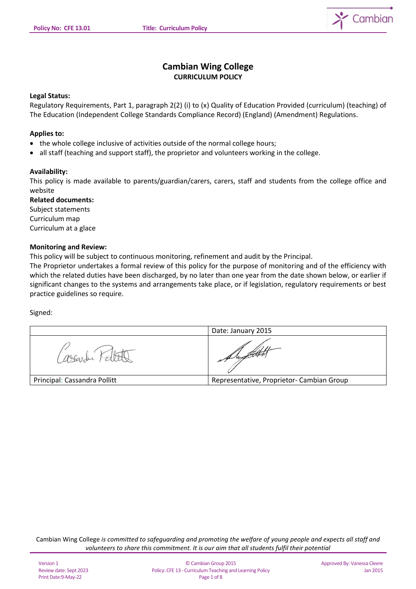

# **Cambian Wing College CURRICULUM POLICY**

#### **Legal Status:**

Regulatory Requirements, Part 1, paragraph 2(2) (i) to (x) Quality of Education Provided (curriculum) (teaching) of The Education (Independent College Standards Compliance Record) (England) (Amendment) Regulations.

#### **Applies to:**

- the whole college inclusive of activities outside of the normal college hours;
- all staff (teaching and support staff), the proprietor and volunteers working in the college.

#### **Availability:**

This policy is made available to parents/guardian/carers, carers, staff and students from the college office and website

**Related documents:**  Subject statements Curriculum map

Curriculum at a glace

# **Monitoring and Review:**

This policy will be subject to continuous monitoring, refinement and audit by the Principal.

The Proprietor undertakes a formal review of this policy for the purpose of monitoring and of the efficiency with which the related duties have been discharged, by no later than one year from the date shown below, or earlier if significant changes to the systems and arrangements take place, or if legislation, regulatory requirements or best practice guidelines so require.

Signed:

|                              | Date: January 2015                        |
|------------------------------|-------------------------------------------|
|                              | of refuner,                               |
| Principal: Cassandra Pollitt | Representative, Proprietor- Cambian Group |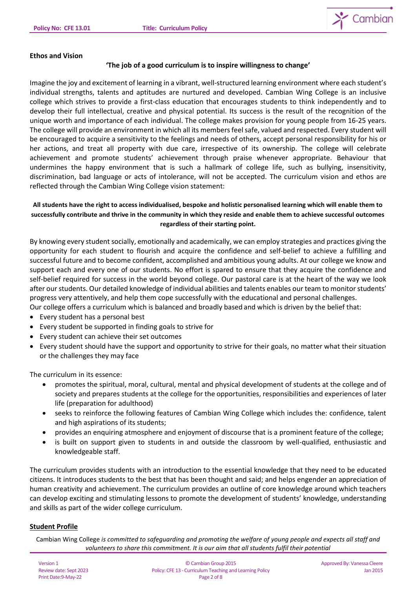

# **Ethos and Vision**

# **'The job of a good curriculum is to inspire willingness to change'**

Imagine the joy and excitement of learning in a vibrant, well-structured learning environment where each student's individual strengths, talents and aptitudes are nurtured and developed. Cambian Wing College is an inclusive college which strives to provide a first-class education that encourages students to think independently and to develop their full intellectual, creative and physical potential. Its success is the result of the recognition of the unique worth and importance of each individual. The college makes provision for young people from 16-25 years. The college will provide an environment in which all its members feel safe, valued and respected. Every student will be encouraged to acquire a sensitivity to the feelings and needs of others, accept personal responsibility for his or her actions, and treat all property with due care, irrespective of its ownership. The college will celebrate achievement and promote students' achievement through praise whenever appropriate. Behaviour that undermines the happy environment that is such a hallmark of college life, such as bullying, insensitivity, discrimination, bad language or acts of intolerance, will not be accepted. The curriculum vision and ethos are reflected through the Cambian Wing College vision statement:

# **All students have the right to access individualised, bespoke and holistic personalised learning which will enable them to successfully contribute and thrive in the community in which they reside and enable them to achieve successful outcomes regardless of their starting point.**

By knowing every student socially, emotionally and academically, we can employ strategies and practices giving the opportunity for each student to flourish and acquire the confidence and self-belief to achieve a fulfilling and successful future and to become confident, accomplished and ambitious young adults. At our college we know and support each and every one of our students. No effort is spared to ensure that they acquire the confidence and self-belief required for success in the world beyond college. Our pastoral care is at the heart of the way we look after our students. Our detailed knowledge of individual abilities and talents enables our team to monitor students' progress very attentively, and help them cope successfully with the educational and personal challenges.

- Our college offers a curriculum which is balanced and broadly based and which is driven by the belief that:
- Every student has a personal best
- Every student be supported in finding goals to strive for
- Every student can achieve their set outcomes
- Every student should have the support and opportunity to strive for their goals, no matter what their situation or the challenges they may face

The curriculum in its essence:

- promotes the spiritual, moral, cultural, mental and physical development of students at the college and of society and prepares students at the college for the opportunities, responsibilities and experiences of later life (preparation for adulthood)
- seeks to reinforce the following features of Cambian Wing College which includes the: confidence, talent and high aspirations of its students;
- provides an enquiring atmosphere and enjoyment of discourse that is a prominent feature of the college;
- is built on support given to students in and outside the classroom by well-qualified, enthusiastic and knowledgeable staff.

The curriculum provides students with an introduction to the essential knowledge that they need to be educated citizens. It introduces students to the best that has been thought and said; and helps engender an appreciation of human creativity and achievement. The curriculum provides an outline of core knowledge around which teachers can develop exciting and stimulating lessons to promote the development of students' knowledge, understanding and skills as part of the wider college curriculum.

# **Student Profile**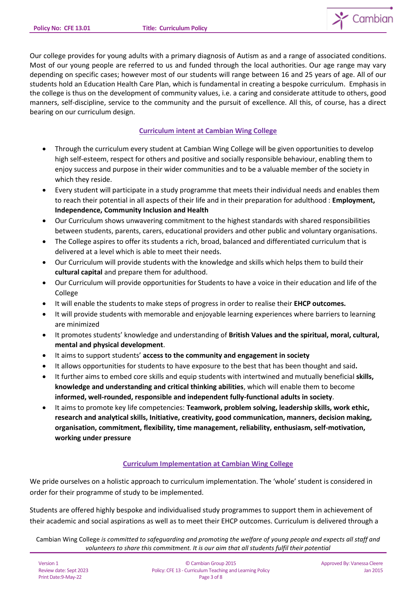

Our college provides for young adults with a primary diagnosis of Autism as and a range of associated conditions. Most of our young people are referred to us and funded through the local authorities. Our age range may vary depending on specific cases; however most of our students will range between 16 and 25 years of age. All of our students hold an Education Health Care Plan, which is fundamental in creating a bespoke curriculum. Emphasis in the college is thus on the development of community values, i.e. a caring and considerate attitude to others, good manners, self-discipline, service to the community and the pursuit of excellence. All this, of course, has a direct bearing on our curriculum design.

## **Curriculum intent at Cambian Wing College**

- Through the curriculum every student at Cambian Wing College will be given opportunities to develop high self-esteem, respect for others and positive and socially responsible behaviour, enabling them to enjoy success and purpose in their wider communities and to be a valuable member of the society in which they reside.
- Every student will participate in a study programme that meets their individual needs and enables them to reach their potential in all aspects of their life and in their preparation for adulthood : **Employment, Independence, Community Inclusion and Health**
- Our Curriculum shows unwavering commitment to the highest standards with shared responsibilities between students, parents, carers, educational providers and other public and voluntary organisations.
- The College aspires to offer its students a rich, broad, balanced and differentiated curriculum that is delivered at a level which is able to meet their needs.
- Our Curriculum will provide students with the knowledge and skills which helps them to build their **cultural capital** and prepare them for adulthood.
- Our Curriculum will provide opportunities for Students to have a voice in their education and life of the College
- It will enable the students to make steps of progress in order to realise their **EHCP outcomes.**
- It will provide students with memorable and enjoyable learning experiences where barriers to learning are minimized
- It promotes students' knowledge and understanding of **British Values and the spiritual, moral, cultural, mental and physical development**.
- It aims to support students' **access to the community and engagement in society**
- It allows opportunities for students to have exposure to the best that has been thought and said**.**
- It further aims to embed core skills and equip students with intertwined and mutually beneficial **skills, knowledge and understanding and critical thinking abilities**, which will enable them to become **informed, well-rounded, responsible and independent fully-functional adults in society**.
- It aims to promote key life competencies: **Teamwork, problem solving, leadership skills, work ethic, research and analytical skills, Initiative, creativity, good communication, manners, decision making, organisation, commitment, flexibility, time management, reliability, enthusiasm, self-motivation, working under pressure**

# **Curriculum Implementation at Cambian Wing College**

We pride ourselves on a holistic approach to curriculum implementation. The 'whole' student is considered in order for their programme of study to be implemented.

Students are offered highly bespoke and individualised study programmes to support them in achievement of their academic and social aspirations as well as to meet their EHCP outcomes. Curriculum is delivered through a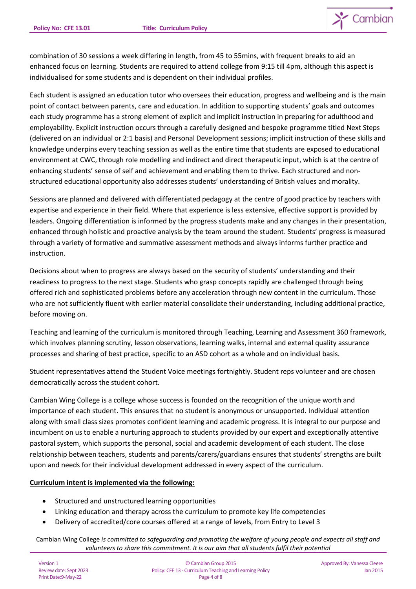

combination of 30 sessions a week differing in length, from 45 to 55mins, with frequent breaks to aid an enhanced focus on learning. Students are required to attend college from 9:15 till 4pm, although this aspect is individualised for some students and is dependent on their individual profiles.

Each student is assigned an education tutor who oversees their education, progress and wellbeing and is the main point of contact between parents, care and education. In addition to supporting students' goals and outcomes each study programme has a strong element of explicit and implicit instruction in preparing for adulthood and employability. Explicit instruction occurs through a carefully designed and bespoke programme titled Next Steps (delivered on an individual or 2:1 basis) and Personal Development sessions; implicit instruction of these skills and knowledge underpins every teaching session as well as the entire time that students are exposed to educational environment at CWC, through role modelling and indirect and direct therapeutic input, which is at the centre of enhancing students' sense of self and achievement and enabling them to thrive. Each structured and nonstructured educational opportunity also addresses students' understanding of British values and morality.

Sessions are planned and delivered with differentiated pedagogy at the centre of good practice by teachers with expertise and experience in their field. Where that experience is less extensive, effective support is provided by leaders. Ongoing differentiation is informed by the progress students make and any changes in their presentation, enhanced through holistic and proactive analysis by the team around the student. Students' progress is measured through a variety of formative and summative assessment methods and always informs further practice and instruction.

Decisions about when to progress are always based on the security of students' understanding and their readiness to progress to the next stage. Students who grasp concepts rapidly are challenged through being offered rich and sophisticated problems before any acceleration through new content in the curriculum. Those who are not sufficiently fluent with earlier material consolidate their understanding, including additional practice, before moving on.

Teaching and learning of the curriculum is monitored through Teaching, Learning and Assessment 360 framework, which involves planning scrutiny, lesson observations, learning walks, internal and external quality assurance processes and sharing of best practice, specific to an ASD cohort as a whole and on individual basis.

Student representatives attend the Student Voice meetings fortnightly. Student reps volunteer and are chosen democratically across the student cohort.

Cambian Wing College is a college whose success is founded on the recognition of the unique worth and importance of each student. This ensures that no student is anonymous or unsupported. Individual attention along with small class sizes promotes confident learning and academic progress. It is integral to our purpose and incumbent on us to enable a nurturing approach to students provided by our expert and exceptionally attentive pastoral system, which supports the personal, social and academic development of each student. The close relationship between teachers, students and parents/carers/guardians ensures that students' strengths are built upon and needs for their individual development addressed in every aspect of the curriculum.

# **Curriculum intent is implemented via the following:**

- Structured and unstructured learning opportunities
- Linking education and therapy across the curriculum to promote key life competencies
- Delivery of accredited/core courses offered at a range of levels, from Entry to Level 3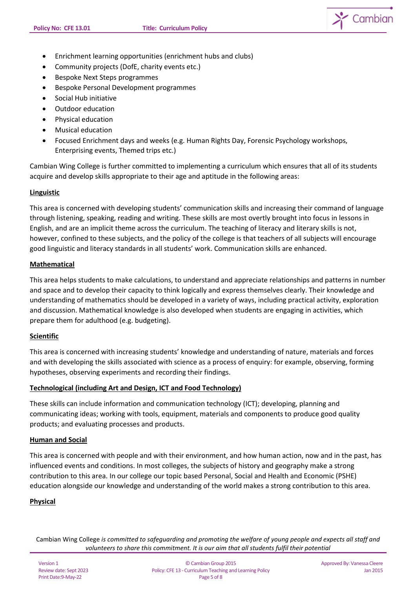

- Enrichment learning opportunities (enrichment hubs and clubs)
- Community projects (DofE, charity events etc.)
- Bespoke Next Steps programmes
- Bespoke Personal Development programmes
- Social Hub initiative
- Outdoor education
- Physical education
- Musical education
- Focused Enrichment days and weeks (e.g. Human Rights Day, Forensic Psychology workshops, Enterprising events, Themed trips etc.)

Cambian Wing College is further committed to implementing a curriculum which ensures that all of its students acquire and develop skills appropriate to their age and aptitude in the following areas:

### **Linguistic**

This area is concerned with developing students' communication skills and increasing their command of language through listening, speaking, reading and writing. These skills are most overtly brought into focus in lessons in English, and are an implicit theme across the curriculum. The teaching of literacy and literary skills is not, however, confined to these subjects, and the policy of the college is that teachers of all subjects will encourage good linguistic and literacy standards in all students' work. Communication skills are enhanced.

#### **Mathematical**

This area helps students to make calculations, to understand and appreciate relationships and patterns in number and space and to develop their capacity to think logically and express themselves clearly. Their knowledge and understanding of mathematics should be developed in a variety of ways, including practical activity, exploration and discussion. Mathematical knowledge is also developed when students are engaging in activities, which prepare them for adulthood (e.g. budgeting).

### **Scientific**

This area is concerned with increasing students' knowledge and understanding of nature, materials and forces and with developing the skills associated with science as a process of enquiry: for example, observing, forming hypotheses, observing experiments and recording their findings.

#### **Technological (including Art and Design, ICT and Food Technology)**

These skills can include information and communication technology (ICT); developing, planning and communicating ideas; working with tools, equipment, materials and components to produce good quality products; and evaluating processes and products.

### **Human and Social**

This area is concerned with people and with their environment, and how human action, now and in the past, has influenced events and conditions. In most colleges, the subjects of history and geography make a strong contribution to this area. In our college our topic based Personal, Social and Health and Economic (PSHE) education alongside our knowledge and understanding of the world makes a strong contribution to this area.

### **Physical**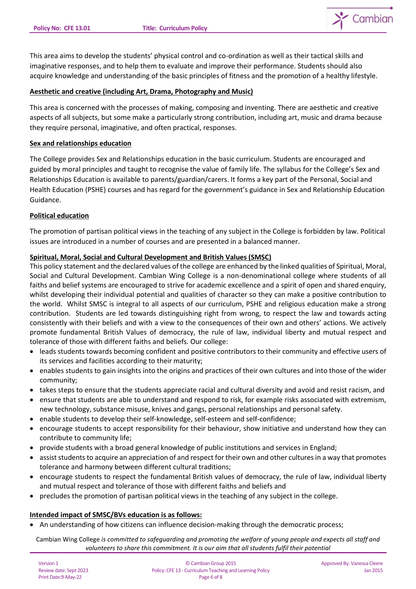

This area aims to develop the students' physical control and co-ordination as well as their tactical skills and imaginative responses, and to help them to evaluate and improve their performance. Students should also acquire knowledge and understanding of the basic principles of fitness and the promotion of a healthy lifestyle.

### **Aesthetic and creative (including Art, Drama, Photography and Music)**

This area is concerned with the processes of making, composing and inventing. There are aesthetic and creative aspects of all subjects, but some make a particularly strong contribution, including art, music and drama because they require personal, imaginative, and often practical, responses.

### **Sex and relationships education**

The College provides Sex and Relationships education in the basic curriculum. Students are encouraged and guided by moral principles and taught to recognise the value of family life. The syllabus for the College's Sex and Relationships Education is available to parents/guardian/carers. It forms a key part of the Personal, Social and Health Education (PSHE) courses and has regard for the government's guidance in Sex and Relationship Education Guidance.

## **Political education**

The promotion of partisan political views in the teaching of any subject in the College is forbidden by law. Political issues are introduced in a number of courses and are presented in a balanced manner.

## **Spiritual, Moral, Social and Cultural Development and British Values (SMSC)**

This policy statement and the declared values of the college are enhanced by the linked qualities of Spiritual, Moral, Social and Cultural Development. Cambian Wing College is a non-denominational college where students of all faiths and belief systems are encouraged to strive for academic excellence and a spirit of open and shared enquiry, whilst developing their individual potential and qualities of character so they can make a positive contribution to the world. Whilst SMSC is integral to all aspects of our curriculum, PSHE and religious education make a strong contribution. Students are led towards distinguishing right from wrong, to respect the law and towards acting consistently with their beliefs and with a view to the consequences of their own and others' actions. We actively promote fundamental British Values of democracy, the rule of law, individual liberty and mutual respect and tolerance of those with different faiths and beliefs. Our college:

- leads students towards becoming confident and positive contributors to their community and effective users of its services and facilities according to their maturity;
- enables students to gain insights into the origins and practices of their own cultures and into those of the wider community;
- takes steps to ensure that the students appreciate racial and cultural diversity and avoid and resist racism, and
- ensure that students are able to understand and respond to risk, for example risks associated with extremism, new technology, substance misuse, knives and gangs, personal relationships and personal safety.
- enable students to develop their self-knowledge, self-esteem and self-confidence;
- encourage students to accept responsibility for their behaviour, show initiative and understand how they can contribute to community life;
- provide students with a broad general knowledge of public institutions and services in England;
- assist students to acquire an appreciation of and respect for their own and other cultures in a way that promotes tolerance and harmony between different cultural traditions;
- encourage students to respect the fundamental British values of democracy, the rule of law, individual liberty and mutual respect and tolerance of those with different faiths and beliefs and
- precludes the promotion of partisan political views in the teaching of any subject in the college.

### **Intended impact of SMSC/BVs education is as follows:**

• An understanding of how citizens can influence decision-making through the democratic process;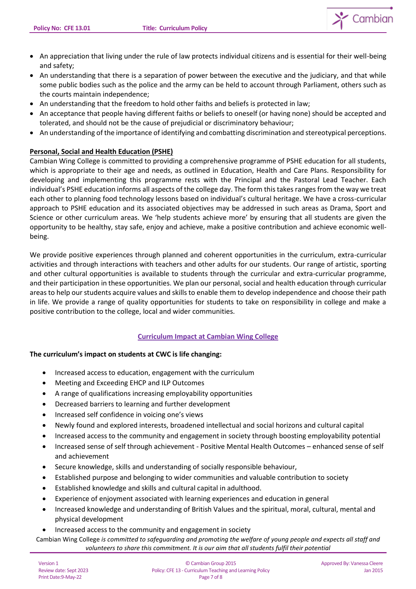

- An appreciation that living under the rule of law protects individual citizens and is essential for their well-being and safety;
- An understanding that there is a separation of power between the executive and the judiciary, and that while some public bodies such as the police and the army can be held to account through Parliament, others such as the courts maintain independence;
- An understanding that the freedom to hold other faiths and beliefs is protected in law;
- An acceptance that people having different faiths or beliefs to oneself (or having none) should be accepted and tolerated, and should not be the cause of prejudicial or discriminatory behaviour;
- An understanding of the importance of identifying and combatting discrimination and stereotypical perceptions.

## **Personal, Social and Health Education (PSHE)**

Cambian Wing College is committed to providing a comprehensive programme of PSHE education for all students, which is appropriate to their age and needs, as outlined in Education, Health and Care Plans. Responsibility for developing and implementing this programme rests with the Principal and the Pastoral Lead Teacher. Each individual's PSHE education informs all aspects of the college day. The form this takes ranges from the way we treat each other to planning food technology lessons based on individual's cultural heritage. We have a cross-curricular approach to PSHE education and its associated objectives may be addressed in such areas as Drama, Sport and Science or other curriculum areas. We 'help students achieve more' by ensuring that all students are given the opportunity to be healthy, stay safe, enjoy and achieve, make a positive contribution and achieve economic wellbeing.

We provide positive experiences through planned and coherent opportunities in the curriculum, extra-curricular activities and through interactions with teachers and other adults for our students. Our range of artistic, sporting and other cultural opportunities is available to students through the curricular and extra-curricular programme, and their participation in these opportunities. We plan our personal, social and health education through curricular areas to help our students acquire values and skills to enable them to develop independence and choose their path in life. We provide a range of quality opportunities for students to take on responsibility in college and make a positive contribution to the college, local and wider communities.

### **Curriculum Impact at Cambian Wing College**

### **The curriculum's impact on students at CWC is life changing:**

- Increased access to education, engagement with the curriculum
- Meeting and Exceeding EHCP and ILP Outcomes
- A range of qualifications increasing employability opportunities
- Decreased barriers to learning and further development
- Increased self confidence in voicing one's views
- Newly found and explored interests, broadened intellectual and social horizons and cultural capital
- Increased access to the community and engagement in society through boosting employability potential
- Increased sense of self through achievement Positive Mental Health Outcomes enhanced sense of self and achievement
- Secure knowledge, skills and understanding of socially responsible behaviour,
- Established purpose and belonging to wider communities and valuable contribution to society
- Established knowledge and skills and cultural capital in adulthood.
- Experience of enjoyment associated with learning experiences and education in general
- Increased knowledge and understanding of British Values and the spiritual, moral, cultural, mental and physical development
- Increased access to the community and engagement in society